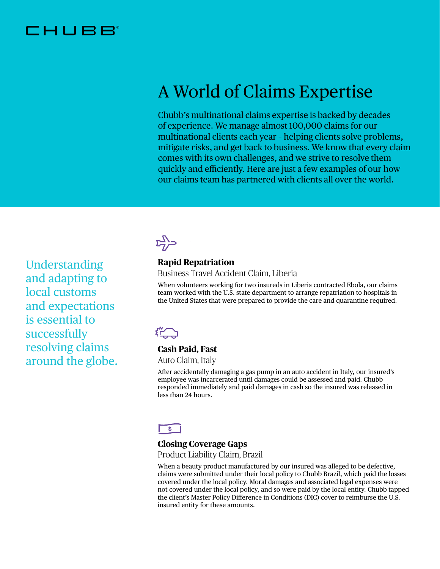## IHUBE

# A World of Claims Expertise

Chubb's multinational claims expertise is backed by decades of experience. We manage almost 100,000 claims for our multinational clients each year – helping clients solve problems, mitigate risks, and get back to business. We know that every claim comes with its own challenges, and we strive to resolve them quickly and efficiently. Here are just a few examples of our how our claims team has partnered with clients all over the world.

Understanding and adapting to local customs and expectations is essential to successfully resolving claims around the globe.

## $\sum_{i=1}^{n}$

## **Rapid Repatriation**

Business Travel Accident Claim, Liberia

When volunteers working for two insureds in Liberia contracted Ebola, our claims team worked with the U.S. state department to arrange repatriation to hospitals in the United States that were prepared to provide the care and quarantine required.

## 谷

### **Cash Paid, Fast**

Auto Claim, Italy

After accidentally damaging a gas pump in an auto accident in Italy, our insured's employee was incarcerated until damages could be assessed and paid. Chubb responded immediately and paid damages in cash so the insured was released in less than 24 hours.

## $\blacklozenge$

### **Closing Coverage Gaps**

Product Liability Claim, Brazil

When a beauty product manufactured by our insured was alleged to be defective, claims were submitted under their local policy to Chubb Brazil, which paid the losses covered under the local policy. Moral damages and associated legal expenses were not covered under the local policy, and so were paid by the local entity. Chubb tapped the client's Master Policy Difference in Conditions (DIC) cover to reimburse the U.S. insured entity for these amounts.